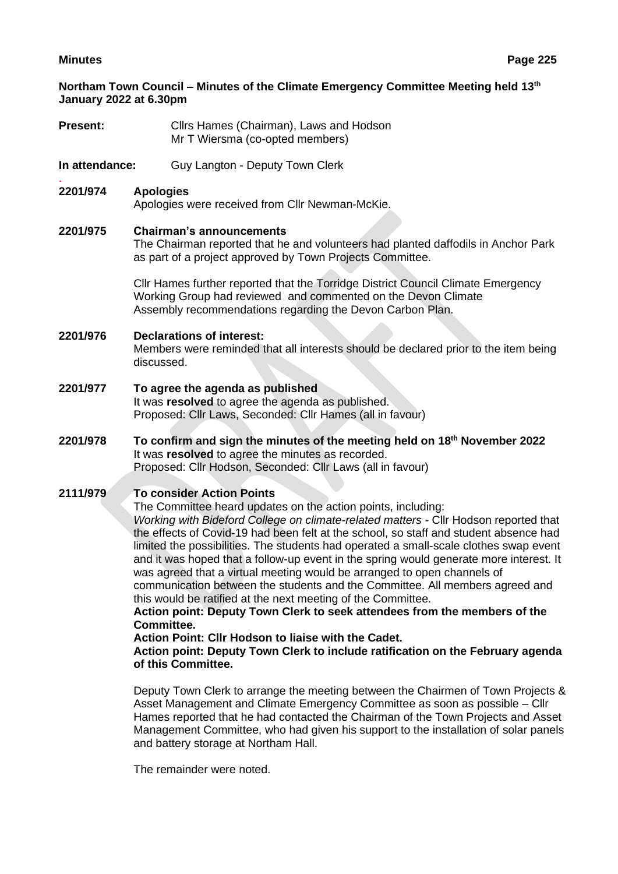**Northam Town Council – Minutes of the Climate Emergency Committee Meeting held 13th January 2022 at 6.30pm**

- **Present:** Cllrs Hames (Chairman), Laws and Hodson Mr T Wiersma (co-opted members)
- **In attendance:** Guy Langton Deputy Town Clerk

#### . **2201/974 Apologies**

Apologies were received from Cllr Newman-McKie.

## **2201/975 Chairman's announcements**

The Chairman reported that he and volunteers had planted daffodils in Anchor Park as part of a project approved by Town Projects Committee.

Cllr Hames further reported that the Torridge District Council Climate Emergency Working Group had reviewed and commented on the Devon Climate Assembly recommendations regarding the Devon Carbon Plan.

# **2201/976 Declarations of interest:**

Members were reminded that all interests should be declared prior to the item being discussed.

- **2201/977 To agree the agenda as published** It was **resolved** to agree the agenda as published. Proposed: Cllr Laws, Seconded: Cllr Hames (all in favour)
- **2201/978 To confirm and sign the minutes of the meeting held on 18th November 2022** It was **resolved** to agree the minutes as recorded. Proposed: Cllr Hodson, Seconded: Cllr Laws (all in favour)

# **2111/979 To consider Action Points**

The Committee heard updates on the action points, including:

*Working with Bideford College on climate-related matters -* Cllr Hodson reported that the effects of Covid-19 had been felt at the school, so staff and student absence had limited the possibilities. The students had operated a small-scale clothes swap event and it was hoped that a follow-up event in the spring would generate more interest. It was agreed that a virtual meeting would be arranged to open channels of communication between the students and the Committee. All members agreed and this would be ratified at the next meeting of the Committee.

**Action point: Deputy Town Clerk to seek attendees from the members of the Committee.**

**Action Point: Cllr Hodson to liaise with the Cadet.**

## **Action point: Deputy Town Clerk to include ratification on the February agenda of this Committee.**

Deputy Town Clerk to arrange the meeting between the Chairmen of Town Projects & Asset Management and Climate Emergency Committee as soon as possible – Cllr Hames reported that he had contacted the Chairman of the Town Projects and Asset Management Committee, who had given his support to the installation of solar panels and battery storage at Northam Hall.

The remainder were noted.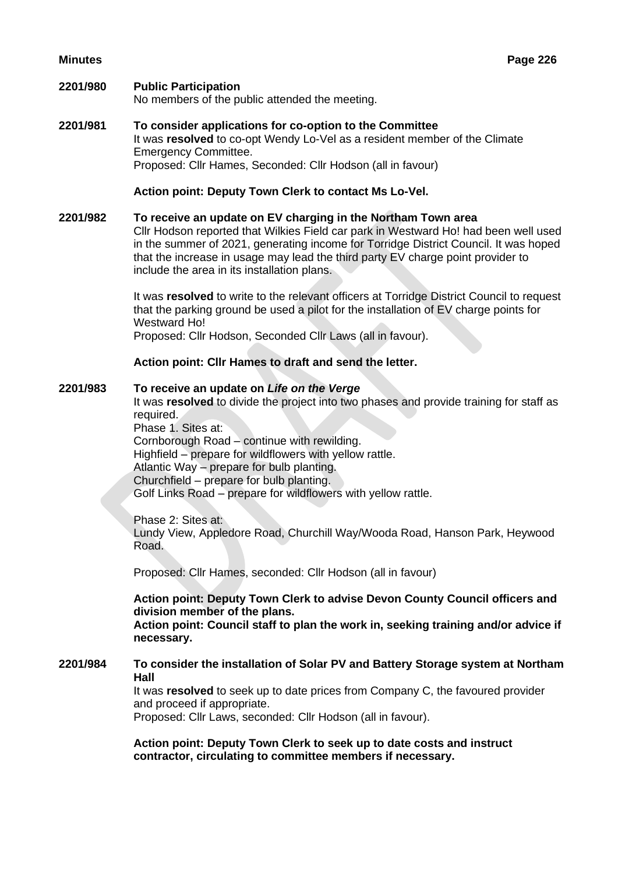#### **2201/980 Public Participation**

No members of the public attended the meeting.

**2201/981 To consider applications for co-option to the Committee** It was **resolved** to co-opt Wendy Lo-Vel as a resident member of the Climate Emergency Committee. Proposed: Cllr Hames, Seconded: Cllr Hodson (all in favour)

## **Action point: Deputy Town Clerk to contact Ms Lo-Vel.**

**2201/982 To receive an update on EV charging in the Northam Town area** Cllr Hodson reported that Wilkies Field car park in Westward Ho! had been well used in the summer of 2021, generating income for Torridge District Council. It was hoped that the increase in usage may lead the third party EV charge point provider to include the area in its installation plans.

> It was **resolved** to write to the relevant officers at Torridge District Council to request that the parking ground be used a pilot for the installation of EV charge points for Westward Ho!

Proposed: Cllr Hodson, Seconded Cllr Laws (all in favour).

#### **Action point: Cllr Hames to draft and send the letter.**

#### **2201/983 To receive an update on** *Life on the Verge*

It was **resolved** to divide the project into two phases and provide training for staff as required.

Phase 1. Sites at: Cornborough Road – continue with rewilding. Highfield – prepare for wildflowers with yellow rattle. Atlantic Way – prepare for bulb planting. Churchfield – prepare for bulb planting. Golf Links Road – prepare for wildflowers with yellow rattle.

Phase 2: Sites at: Lundy View, Appledore Road, Churchill Way/Wooda Road, Hanson Park, Heywood Road.

Proposed: Cllr Hames, seconded: Cllr Hodson (all in favour)

**Action point: Deputy Town Clerk to advise Devon County Council officers and division member of the plans.**

**Action point: Council staff to plan the work in, seeking training and/or advice if necessary.**

## **2201/984 To consider the installation of Solar PV and Battery Storage system at Northam Hall**

It was **resolved** to seek up to date prices from Company C, the favoured provider and proceed if appropriate.

Proposed: Cllr Laws, seconded: Cllr Hodson (all in favour).

**Action point: Deputy Town Clerk to seek up to date costs and instruct contractor, circulating to committee members if necessary.**